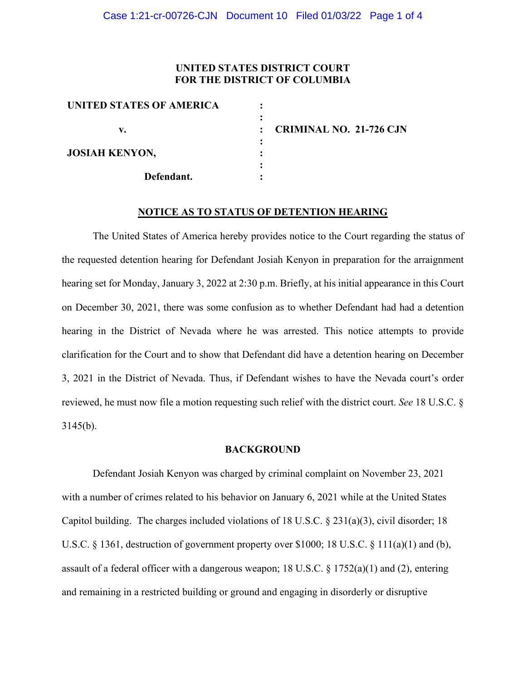### **UNITED STATES DISTRICT COURT FOR THE DISTRICT OF COLUMBIA**

| <b>CRIMINAL NO. 21-726 CJN</b> |
|--------------------------------|

#### **NOTICE AS TO STATUS OF DETENTION HEARING**

The United States of America hereby provides notice to the Court regarding the status of the requested detention hearing for Defendant Josiah Kenyon in preparation for the arraignment hearing set for Monday, January 3, 2022 at 2:30 p.m. Briefly, at his initial appearance in this Court on December 30, 2021, there was some confusion as to whether Defendant had had a detention hearing in the District of Nevada where he was arrested. This notice attempts to provide clarification for the Court and to show that Defendant did have a detention hearing on December 3, 2021 in the District of Nevada. Thus, if Defendant wishes to have the Nevada court's order reviewed, he must now file a motion requesting such relief with the district court. *See* 18 U.S.C. § 3145(b).

#### **BACKGROUND**

Defendant Josiah Kenyon was charged by criminal complaint on November 23, 2021 with a number of crimes related to his behavior on January 6, 2021 while at the United States Capitol building. The charges included violations of 18 U.S.C. § 231(a)(3), civil disorder; 18 U.S.C. § 1361, destruction of government property over \$1000; 18 U.S.C. § 111(a)(1) and (b), assault of a federal officer with a dangerous weapon; 18 U.S.C. § 1752(a)(1) and (2), entering and remaining in a restricted building or ground and engaging in disorderly or disruptive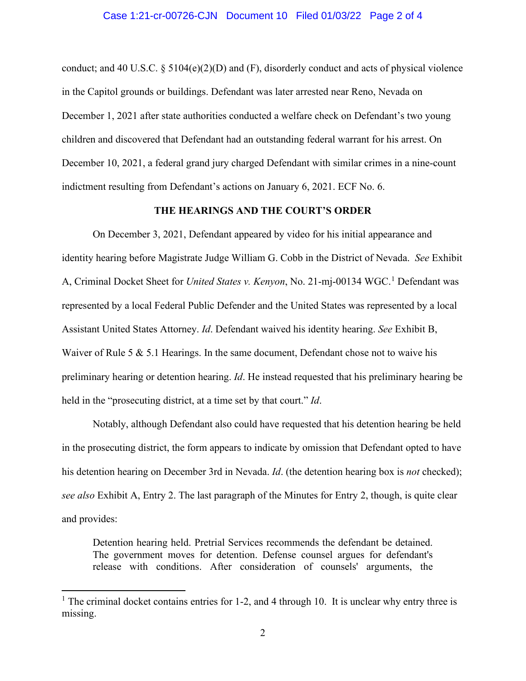#### Case 1:21-cr-00726-CJN Document 10 Filed 01/03/22 Page 2 of 4

conduct; and 40 U.S.C. § 5104(e)(2)(D) and (F), disorderly conduct and acts of physical violence in the Capitol grounds or buildings. Defendant was later arrested near Reno, Nevada on December 1, 2021 after state authorities conducted a welfare check on Defendant's two young children and discovered that Defendant had an outstanding federal warrant for his arrest. On December 10, 2021, a federal grand jury charged Defendant with similar crimes in a nine-count indictment resulting from Defendant's actions on January 6, 2021. ECF No. 6.

### **THE HEARINGS AND THE COURT'S ORDER**

On December 3, 2021, Defendant appeared by video for his initial appearance and identity hearing before Magistrate Judge William G. Cobb in the District of Nevada. *See* Exhibit A, Criminal Docket Sheet for *United States v. Kenyon*, No. 21-mj-00134 WGC.<sup>1</sup> Defendant was represented by a local Federal Public Defender and the United States was represented by a local Assistant United States Attorney. *Id*. Defendant waived his identity hearing. *See* Exhibit B, Waiver of Rule 5 & 5.1 Hearings. In the same document, Defendant chose not to waive his preliminary hearing or detention hearing. *Id*. He instead requested that his preliminary hearing be held in the "prosecuting district, at a time set by that court." *Id*.

Notably, although Defendant also could have requested that his detention hearing be held in the prosecuting district, the form appears to indicate by omission that Defendant opted to have his detention hearing on December 3rd in Nevada. *Id*. (the detention hearing box is *not* checked); *see also* Exhibit A, Entry 2. The last paragraph of the Minutes for Entry 2, though, is quite clear and provides:

Detention hearing held. Pretrial Services recommends the defendant be detained. The government moves for detention. Defense counsel argues for defendant's release with conditions. After consideration of counsels' arguments, the

<sup>&</sup>lt;sup>1</sup> The criminal docket contains entries for 1-2, and 4 through 10. It is unclear why entry three is missing.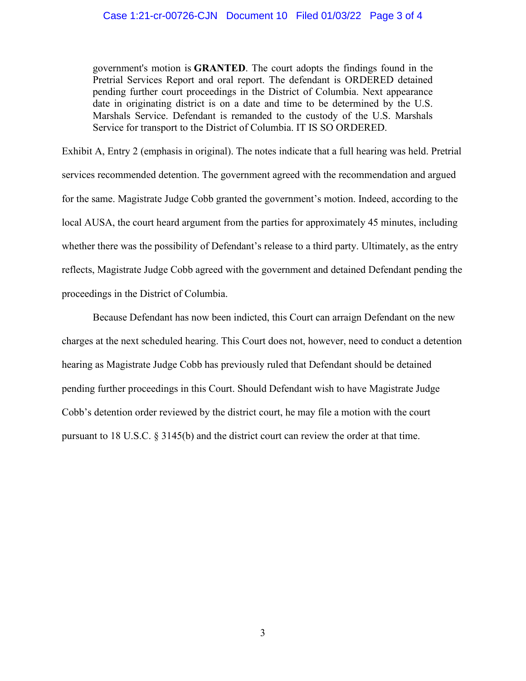government's motion is **GRANTED**. The court adopts the findings found in the Pretrial Services Report and oral report. The defendant is ORDERED detained pending further court proceedings in the District of Columbia. Next appearance date in originating district is on a date and time to be determined by the U.S. Marshals Service. Defendant is remanded to the custody of the U.S. Marshals Service for transport to the District of Columbia. IT IS SO ORDERED.

Exhibit A, Entry 2 (emphasis in original). The notes indicate that a full hearing was held. Pretrial services recommended detention. The government agreed with the recommendation and argued for the same. Magistrate Judge Cobb granted the government's motion. Indeed, according to the local AUSA, the court heard argument from the parties for approximately 45 minutes, including whether there was the possibility of Defendant's release to a third party. Ultimately, as the entry reflects, Magistrate Judge Cobb agreed with the government and detained Defendant pending the proceedings in the District of Columbia.

Because Defendant has now been indicted, this Court can arraign Defendant on the new charges at the next scheduled hearing. This Court does not, however, need to conduct a detention hearing as Magistrate Judge Cobb has previously ruled that Defendant should be detained pending further proceedings in this Court. Should Defendant wish to have Magistrate Judge Cobb's detention order reviewed by the district court, he may file a motion with the court pursuant to 18 U.S.C. § 3145(b) and the district court can review the order at that time.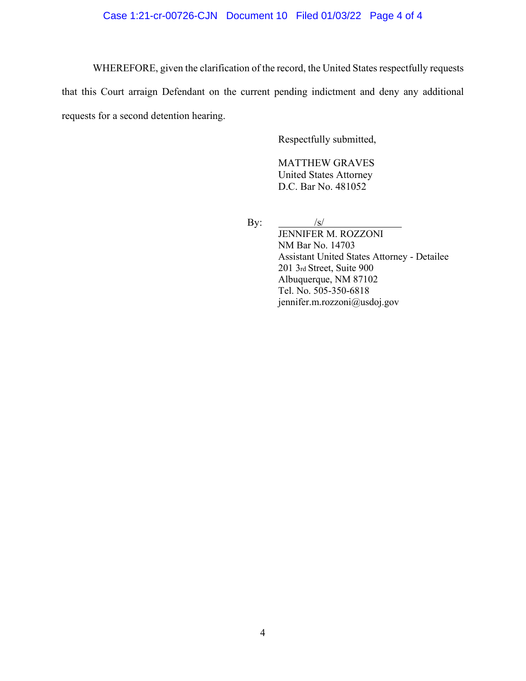## Case 1:21-cr-00726-CJN Document 10 Filed 01/03/22 Page 4 of 4

WHEREFORE, given the clarification of the record, the United States respectfully requests

that this Court arraign Defendant on the current pending indictment and deny any additional requests for a second detention hearing.

Respectfully submitted,

MATTHEW GRAVES United States Attorney D.C. Bar No. 481052

By:  $/s/$ 

JENNIFER M. ROZZONI NM Bar No. 14703 Assistant United States Attorney - Detailee 201 3rd Street, Suite 900 Albuquerque, NM 87102 Tel. No. 505-350-6818 jennifer.m.rozzoni@usdoj.gov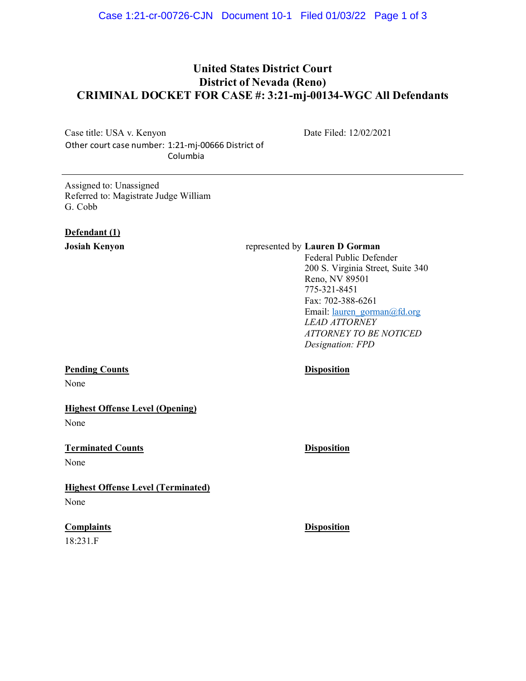# **United States District Court District of Nevada (Reno) CRIMINAL DOCKET FOR CASE #: 3:21-mj-00134-WGC All Defendants**

Case title: USA v. Kenyon Other court case number: 1:21-mj-00666 District of Columbia

Date Filed: 12/02/2021

Assigned to: Unassigned Referred to: Magistrate Judge William G. Cobb

#### **Defendant (1)**

#### **Josiah Kenyon** represented by **Lauren D Gorman**

Federal Public Defender 200 S. Virginia Street, Suite 340 Reno, NV 89501 775-321-8451 Fax: 702-388-6261 Email: <u>lauren\_gorman@fd.org</u> *LEAD ATTORNEY ATTORNEY TO BE NOTICED Designation: FPD*

#### **Pending Counts Disposition**

None

## **Highest Offense Level (Opening)**

None

# **Terminated Counts Disposition**

None

# **Highest Offense Level (Terminated)** None

18:231.F

**Complaints Disposition**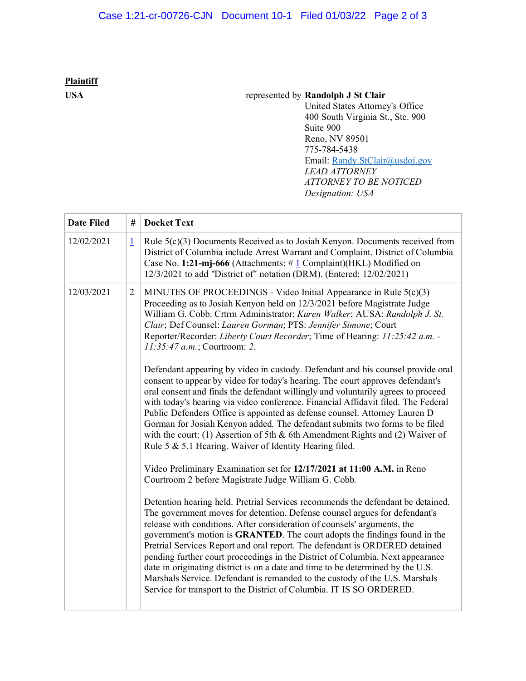# **Plaintiff**

## **USA** represented by **Randolph J St Clair**

United States Attorney's Office 400 South Virginia St., Ste. 900 Suite 900 Reno, NV 89501 775-784-5438 Email: Randy.StClair@usdoj.gov *LEAD ATTORNEY ATTORNEY TO BE NOTICED Designation: USA*

| <b>Date Filed</b> | #              | <b>Docket Text</b>                                                                                                                                                                                                                                                                                                                                                                                                                                                                                                                                                                                                                                                                                                                 |  |
|-------------------|----------------|------------------------------------------------------------------------------------------------------------------------------------------------------------------------------------------------------------------------------------------------------------------------------------------------------------------------------------------------------------------------------------------------------------------------------------------------------------------------------------------------------------------------------------------------------------------------------------------------------------------------------------------------------------------------------------------------------------------------------------|--|
| 12/02/2021        | $\perp$        | Rule 5(c)(3) Documents Received as to Josiah Kenyon. Documents received from<br>District of Columbia include Arrest Warrant and Complaint. District of Columbia<br>Case No. 1:21-mj-666 (Attachments: $\#$ 1 Complaint)(HKL) Modified on<br>12/3/2021 to add "District of" notation (DRM). (Entered: 12/02/2021)                                                                                                                                                                                                                                                                                                                                                                                                                   |  |
| 12/03/2021        | $\overline{2}$ | MINUTES OF PROCEEDINGS - Video Initial Appearance in Rule 5(c)(3)<br>Proceeding as to Josiah Kenyon held on 12/3/2021 before Magistrate Judge<br>William G. Cobb. Crtrm Administrator: Karen Walker; AUSA: Randolph J. St.<br>Clair; Def Counsel: Lauren Gorman; PTS: Jennifer Simone; Court<br>Reporter/Recorder: Liberty Court Recorder; Time of Hearing: 11:25:42 a.m. -<br>11:35:47 a.m.; Courtroom: 2.                                                                                                                                                                                                                                                                                                                        |  |
|                   |                | Defendant appearing by video in custody. Defendant and his counsel provide oral<br>consent to appear by video for today's hearing. The court approves defendant's<br>oral consent and finds the defendant willingly and voluntarily agrees to proceed<br>with today's hearing via video conference. Financial Affidavit filed. The Federal<br>Public Defenders Office is appointed as defense counsel. Attorney Lauren D<br>Gorman for Josiah Kenyon added. The defendant submits two forms to be filed<br>with the court: (1) Assertion of 5th $&$ 6th Amendment Rights and (2) Waiver of<br>Rule 5 & 5.1 Hearing. Waiver of Identity Hearing filed.                                                                              |  |
|                   |                | Video Preliminary Examination set for 12/17/2021 at 11:00 A.M. in Reno<br>Courtroom 2 before Magistrate Judge William G. Cobb.                                                                                                                                                                                                                                                                                                                                                                                                                                                                                                                                                                                                     |  |
|                   |                | Detention hearing held. Pretrial Services recommends the defendant be detained.<br>The government moves for detention. Defense counsel argues for defendant's<br>release with conditions. After consideration of counsels' arguments, the<br>government's motion is GRANTED. The court adopts the findings found in the<br>Pretrial Services Report and oral report. The defendant is ORDERED detained<br>pending further court proceedings in the District of Columbia. Next appearance<br>date in originating district is on a date and time to be determined by the U.S.<br>Marshals Service. Defendant is remanded to the custody of the U.S. Marshals<br>Service for transport to the District of Columbia. IT IS SO ORDERED. |  |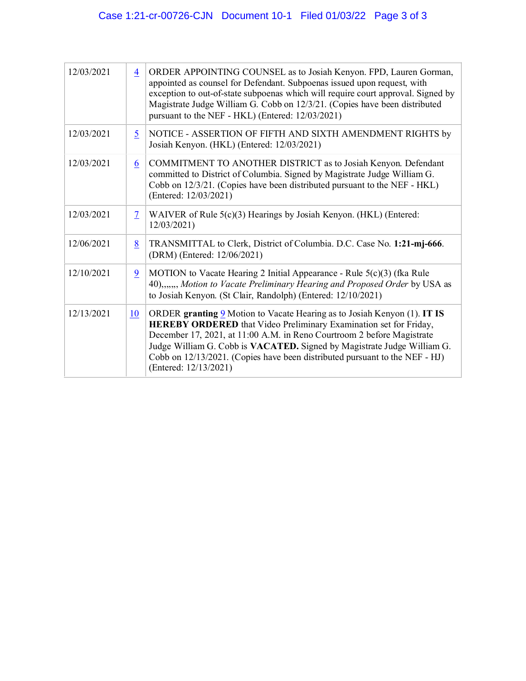| 12/03/2021 | $\overline{4}$ | ORDER APPOINTING COUNSEL as to Josiah Kenyon. FPD, Lauren Gorman,<br>appointed as counsel for Defendant. Subpoenas issued upon request, with<br>exception to out-of-state subpoenas which will require court approval. Signed by<br>Magistrate Judge William G. Cobb on 12/3/21. (Copies have been distributed<br>pursuant to the NEF - HKL) (Entered: 12/03/2021)                                         |  |
|------------|----------------|------------------------------------------------------------------------------------------------------------------------------------------------------------------------------------------------------------------------------------------------------------------------------------------------------------------------------------------------------------------------------------------------------------|--|
| 12/03/2021 | $\overline{5}$ | NOTICE - ASSERTION OF FIFTH AND SIXTH AMENDMENT RIGHTS by<br>Josiah Kenyon. (HKL) (Entered: 12/03/2021)                                                                                                                                                                                                                                                                                                    |  |
| 12/03/2021 | 6              | COMMITMENT TO ANOTHER DISTRICT as to Josiah Kenyon. Defendant<br>committed to District of Columbia. Signed by Magistrate Judge William G.<br>Cobb on 12/3/21. (Copies have been distributed pursuant to the NEF - HKL)<br>(Entered: 12/03/2021)                                                                                                                                                            |  |
| 12/03/2021 | $\overline{1}$ | WAIVER of Rule 5(c)(3) Hearings by Josiah Kenyon. (HKL) (Entered:<br>12/03/2021                                                                                                                                                                                                                                                                                                                            |  |
| 12/06/2021 | 8              | TRANSMITTAL to Clerk, District of Columbia. D.C. Case No. 1:21-mj-666.<br>(DRM) (Entered: 12/06/2021)                                                                                                                                                                                                                                                                                                      |  |
| 12/10/2021 | $\overline{9}$ | MOTION to Vacate Hearing 2 Initial Appearance - Rule $5(c)(3)$ (fka Rule<br>40),,,,,,, Motion to Vacate Preliminary Hearing and Proposed Order by USA as<br>to Josiah Kenyon. (St Clair, Randolph) (Entered: 12/10/2021)                                                                                                                                                                                   |  |
| 12/13/2021 | 10             | ORDER granting 9 Motion to Vacate Hearing as to Josiah Kenyon (1). IT IS<br>HEREBY ORDERED that Video Preliminary Examination set for Friday,<br>December 17, 2021, at 11:00 A.M. in Reno Courtroom 2 before Magistrate<br>Judge William G. Cobb is VACATED. Signed by Magistrate Judge William G.<br>Cobb on 12/13/2021. (Copies have been distributed pursuant to the NEF - HJ)<br>(Entered: 12/13/2021) |  |